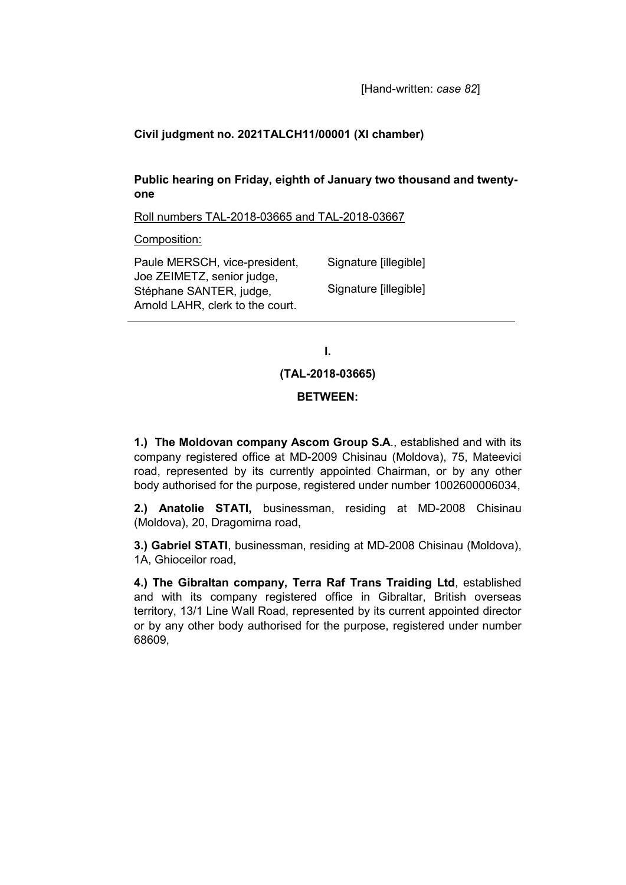# **Civil judgment no. 2021TALCH11/00001 (XI chamber)**

# **Public hearing on Friday, eighth of January two thousand and twentyone**

Roll numbers TAL-2018-03665 and TAL-2018-03667

Composition:

| Paule MERSCH, vice-president,                         | Signature [illegible] |
|-------------------------------------------------------|-----------------------|
| Joe ZEIMETZ, senior judge,<br>Stéphane SANTER, judge, | Signature [illegible] |
| Arnold LAHR, clerk to the court.                      |                       |

**I.**

**(TAL-2018-03665)**

### **BETWEEN:**

**1.) The Moldovan company Ascom Group S.A**., established and with its company registered office at MD-2009 Chisinau (Moldova), 75, Mateevici road, represented by its currently appointed Chairman, or by any other body authorised for the purpose, registered under number 1002600006034,

**2.) Anatolie STATI,** businessman, residing at MD-2008 Chisinau (Moldova), 20, Dragomirna road,

**3.) Gabriel STATI**, businessman, residing at MD-2008 Chisinau (Moldova), 1A, Ghioceilor road,

**4.) The Gibraltan company, Terra Raf Trans Traiding Ltd**, established and with its company registered office in Gibraltar, British overseas territory, 13/1 Line Wall Road, represented by its current appointed director or by any other body authorised for the purpose, registered under number 68609,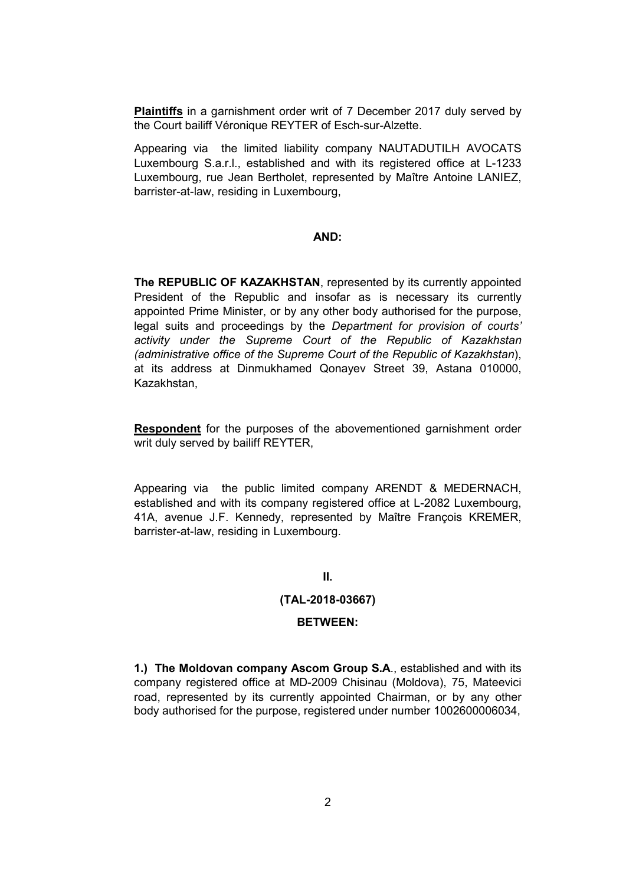**Plaintiffs** in a garnishment order writ of 7 December 2017 duly served by the Court bailiff Véronique REYTER of Esch-sur-Alzette.

Appearing via the limited liability company NAUTADUTILH AVOCATS Luxembourg S.a.r.l., established and with its registered office at L-1233 Luxembourg, rue Jean Bertholet, represented by Maître Antoine LANIEZ, barrister-at-law, residing in Luxembourg,

## **AND:**

**The REPUBLIC OF KAZAKHSTAN**, represented by its currently appointed President of the Republic and insofar as is necessary its currently appointed Prime Minister, or by any other body authorised for the purpose, legal suits and proceedings by the *Department for provision of courts' activity under the Supreme Court of the Republic of Kazakhstan (administrative office of the Supreme Court of the Republic of Kazakhstan*), at its address at Dinmukhamed Qonayev Street 39, Astana 010000, Kazakhstan,

**Respondent** for the purposes of the abovementioned garnishment order writ duly served by bailiff REYTER,

Appearing via the public limited company ARENDT & MEDERNACH, established and with its company registered office at L-2082 Luxembourg, 41A, avenue J.F. Kennedy, represented by Maître François KREMER, barrister-at-law, residing in Luxembourg.

### **II.**

### **(TAL-2018-03667)**

### **BETWEEN:**

**1.) The Moldovan company Ascom Group S.A**., established and with its company registered office at MD-2009 Chisinau (Moldova), 75, Mateevici road, represented by its currently appointed Chairman, or by any other body authorised for the purpose, registered under number 1002600006034,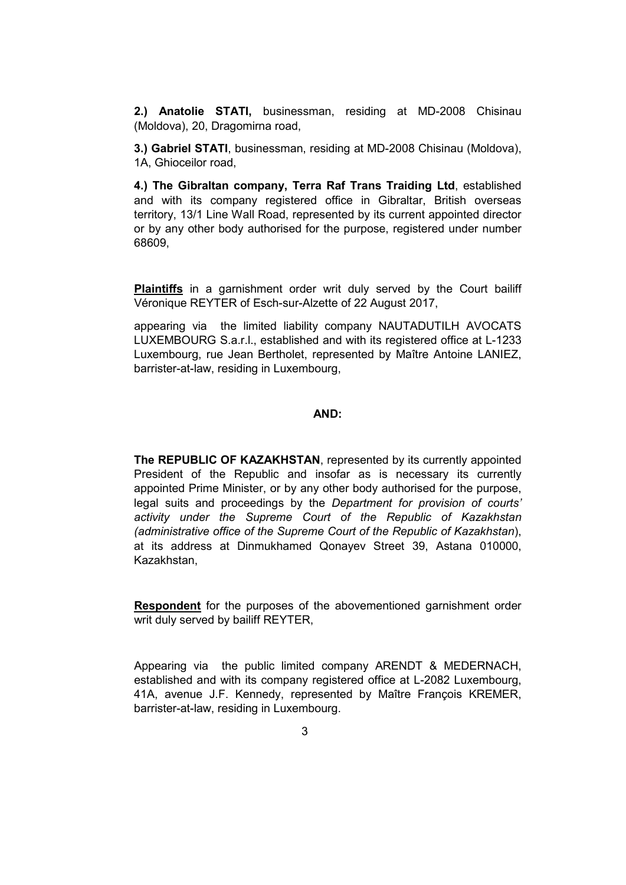**2.) Anatolie STATI,** businessman, residing at MD-2008 Chisinau (Moldova), 20, Dragomirna road,

**3.) Gabriel STATI**, businessman, residing at MD-2008 Chisinau (Moldova), 1A, Ghioceilor road,

**4.) The Gibraltan company, Terra Raf Trans Traiding Ltd**, established and with its company registered office in Gibraltar, British overseas territory, 13/1 Line Wall Road, represented by its current appointed director or by any other body authorised for the purpose, registered under number 68609,

**Plaintiffs** in a garnishment order writ duly served by the Court bailiff Véronique REYTER of Esch-sur-Alzette of 22 August 2017,

appearing via the limited liability company NAUTADUTILH AVOCATS LUXEMBOURG S.a.r.l., established and with its registered office at L-1233 Luxembourg, rue Jean Bertholet, represented by Maître Antoine LANIEZ, barrister-at-law, residing in Luxembourg,

#### **AND:**

**The REPUBLIC OF KAZAKHSTAN**, represented by its currently appointed President of the Republic and insofar as is necessary its currently appointed Prime Minister, or by any other body authorised for the purpose, legal suits and proceedings by the *Department for provision of courts' activity under the Supreme Court of the Republic of Kazakhstan (administrative office of the Supreme Court of the Republic of Kazakhstan*), at its address at Dinmukhamed Qonayev Street 39, Astana 010000, Kazakhstan,

**Respondent** for the purposes of the abovementioned garnishment order writ duly served by bailiff REYTER,

Appearing via the public limited company ARENDT & MEDERNACH, established and with its company registered office at L-2082 Luxembourg, 41A, avenue J.F. Kennedy, represented by Maître François KREMER, barrister-at-law, residing in Luxembourg.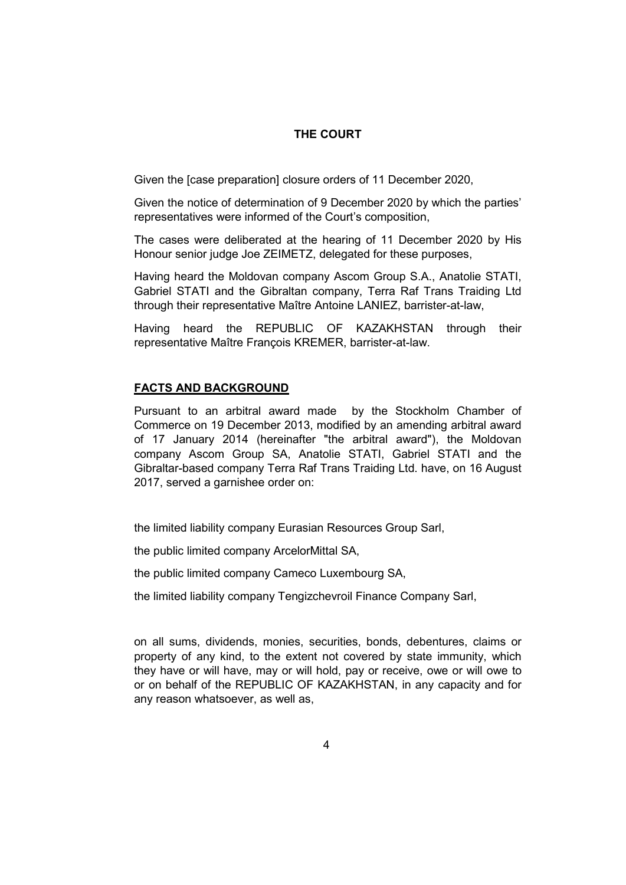# **THE COURT**

Given the [case preparation] closure orders of 11 December 2020,

Given the notice of determination of 9 December 2020 by which the parties' representatives were informed of the Court's composition,

The cases were deliberated at the hearing of 11 December 2020 by His Honour senior judge Joe ZEIMETZ, delegated for these purposes,

Having heard the Moldovan company Ascom Group S.A., Anatolie STATI, Gabriel STATI and the Gibraltan company, Terra Raf Trans Traiding Ltd through their representative Maître Antoine LANIEZ, barrister-at-law,

Having heard the REPUBLIC OF KAZAKHSTAN through their representative Maître François KREMER, barrister-at-law.

# **FACTS AND BACKGROUND**

Pursuant to an arbitral award made by the Stockholm Chamber of Commerce on 19 December 2013, modified by an amending arbitral award of 17 January 2014 (hereinafter "the arbitral award"), the Moldovan company Ascom Group SA, Anatolie STATI, Gabriel STATI and the Gibraltar-based company Terra Raf Trans Traiding Ltd. have, on 16 August 2017, served a garnishee order on:

the limited liability company Eurasian Resources Group Sarl,

the public limited company ArcelorMittal SA,

the public limited company Cameco Luxembourg SA,

the limited liability company Tengizchevroil Finance Company Sarl,

on all sums, dividends, monies, securities, bonds, debentures, claims or property of any kind, to the extent not covered by state immunity, which they have or will have, may or will hold, pay or receive, owe or will owe to or on behalf of the REPUBLIC OF KAZAKHSTAN, in any capacity and for any reason whatsoever, as well as,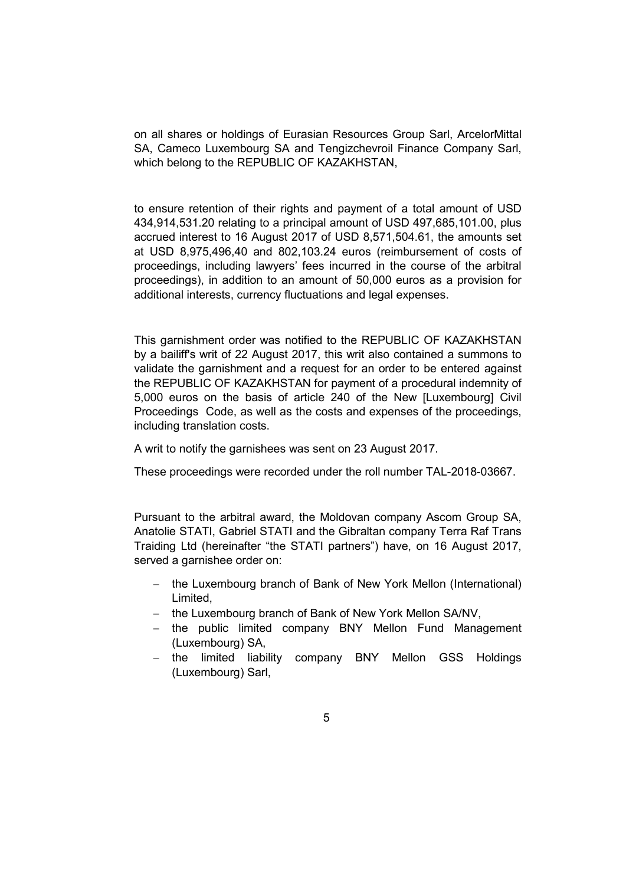on all shares or holdings of Eurasian Resources Group Sarl, ArcelorMittal SA, Cameco Luxembourg SA and Tengizchevroil Finance Company Sarl, which belong to the REPUBLIC OF KAZAKHSTAN,

to ensure retention of their rights and payment of a total amount of USD 434,914,531.20 relating to a principal amount of USD 497,685,101.00, plus accrued interest to 16 August 2017 of USD 8,571,504.61, the amounts set at USD 8,975,496,40 and 802,103.24 euros (reimbursement of costs of proceedings, including lawyers' fees incurred in the course of the arbitral proceedings), in addition to an amount of 50,000 euros as a provision for additional interests, currency fluctuations and legal expenses.

This garnishment order was notified to the REPUBLIC OF KAZAKHSTAN by a bailiff's writ of 22 August 2017, this writ also contained a summons to validate the garnishment and a request for an order to be entered against the REPUBLIC OF KAZAKHSTAN for payment of a procedural indemnity of 5,000 euros on the basis of article 240 of the New [Luxembourg] Civil Proceedings Code, as well as the costs and expenses of the proceedings, including translation costs.

A writ to notify the garnishees was sent on 23 August 2017.

These proceedings were recorded under the roll number TAL-2018-03667.

Pursuant to the arbitral award, the Moldovan company Ascom Group SA, Anatolie STATI, Gabriel STATI and the Gibraltan company Terra Raf Trans Traiding Ltd (hereinafter "the STATI partners") have, on 16 August 2017, served a garnishee order on:

- the Luxembourg branch of Bank of New York Mellon (International) Limited,
- − the Luxembourg branch of Bank of New York Mellon SA/NV,
- − the public limited company BNY Mellon Fund Management (Luxembourg) SA,
- − the limited liability company BNY Mellon GSS Holdings (Luxembourg) Sarl,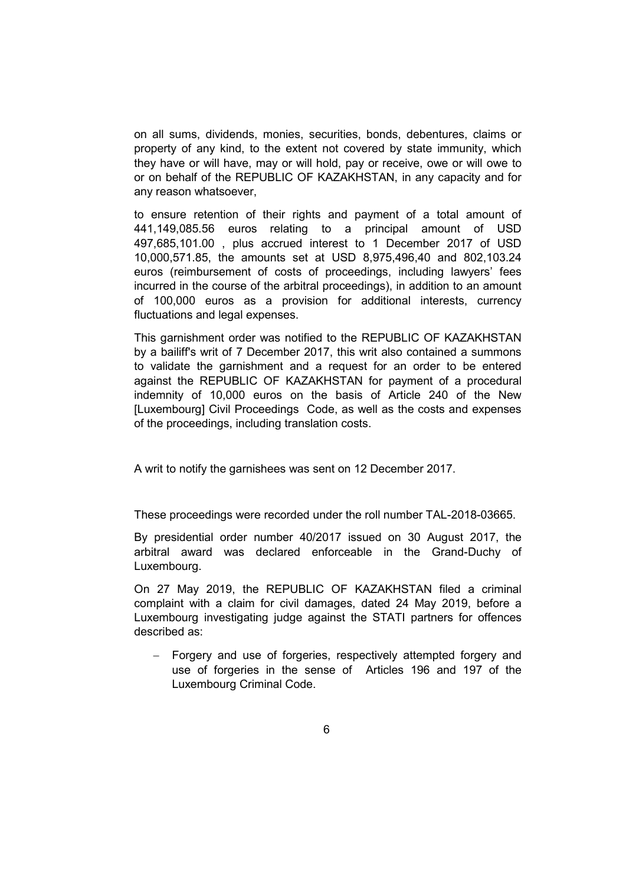on all sums, dividends, monies, securities, bonds, debentures, claims or property of any kind, to the extent not covered by state immunity, which they have or will have, may or will hold, pay or receive, owe or will owe to or on behalf of the REPUBLIC OF KAZAKHSTAN, in any capacity and for any reason whatsoever,

to ensure retention of their rights and payment of a total amount of 441,149,085.56 euros relating to a principal amount of USD 497,685,101.00 , plus accrued interest to 1 December 2017 of USD 10,000,571.85, the amounts set at USD 8,975,496,40 and 802,103.24 euros (reimbursement of costs of proceedings, including lawyers' fees incurred in the course of the arbitral proceedings), in addition to an amount of 100,000 euros as a provision for additional interests, currency fluctuations and legal expenses.

This garnishment order was notified to the REPUBLIC OF KAZAKHSTAN by a bailiff's writ of 7 December 2017, this writ also contained a summons to validate the garnishment and a request for an order to be entered against the REPUBLIC OF KAZAKHSTAN for payment of a procedural indemnity of 10,000 euros on the basis of Article 240 of the New [Luxembourg] Civil Proceedings Code, as well as the costs and expenses of the proceedings, including translation costs.

A writ to notify the garnishees was sent on 12 December 2017.

These proceedings were recorded under the roll number TAL-2018-03665.

By presidential order number 40/2017 issued on 30 August 2017, the arbitral award was declared enforceable in the Grand-Duchy of Luxembourg.

On 27 May 2019, the REPUBLIC OF KAZAKHSTAN filed a criminal complaint with a claim for civil damages, dated 24 May 2019, before a Luxembourg investigating judge against the STATI partners for offences described as:

− Forgery and use of forgeries, respectively attempted forgery and use of forgeries in the sense of Articles 196 and 197 of the Luxembourg Criminal Code.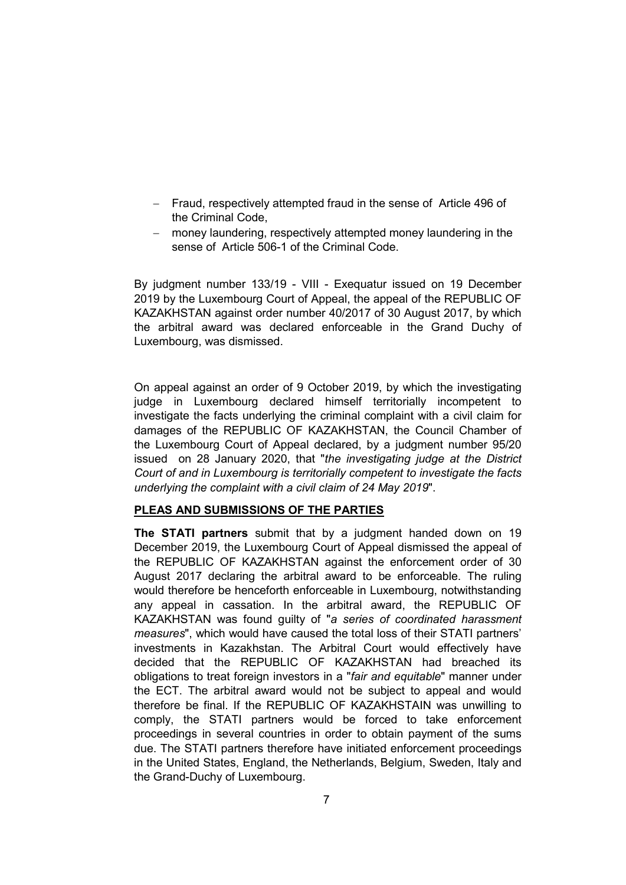- − Fraud, respectively attempted fraud in the sense of Article 496 of the Criminal Code,
- − money laundering, respectively attempted money laundering in the sense of Article 506-1 of the Criminal Code.

By judgment number 133/19 - VIII - Exequatur issued on 19 December 2019 by the Luxembourg Court of Appeal, the appeal of the REPUBLIC OF KAZAKHSTAN against order number 40/2017 of 30 August 2017, by which the arbitral award was declared enforceable in the Grand Duchy of Luxembourg, was dismissed.

On appeal against an order of 9 October 2019, by which the investigating judge in Luxembourg declared himself territorially incompetent to investigate the facts underlying the criminal complaint with a civil claim for damages of the REPUBLIC OF KAZAKHSTAN, the Council Chamber of the Luxembourg Court of Appeal declared, by a judgment number 95/20 issued on 28 January 2020, that "*the investigating judge at the District Court of and in Luxembourg is territorially competent to investigate the facts underlying the complaint with a civil claim of 24 May 2019*".

## **PLEAS AND SUBMISSIONS OF THE PARTIES**

**The STATI partners** submit that by a judgment handed down on 19 December 2019, the Luxembourg Court of Appeal dismissed the appeal of the REPUBLIC OF KAZAKHSTAN against the enforcement order of 30 August 2017 declaring the arbitral award to be enforceable. The ruling would therefore be henceforth enforceable in Luxembourg, notwithstanding any appeal in cassation. In the arbitral award, the REPUBLIC OF KAZAKHSTAN was found guilty of "*a series of coordinated harassment measures*", which would have caused the total loss of their STATI partners' investments in Kazakhstan. The Arbitral Court would effectively have decided that the REPUBLIC OF KAZAKHSTAN had breached its obligations to treat foreign investors in a "*fair and equitable*" manner under the ECT. The arbitral award would not be subject to appeal and would therefore be final. If the REPUBLIC OF KAZAKHSTAIN was unwilling to comply, the STATI partners would be forced to take enforcement proceedings in several countries in order to obtain payment of the sums due. The STATI partners therefore have initiated enforcement proceedings in the United States, England, the Netherlands, Belgium, Sweden, Italy and the Grand-Duchy of Luxembourg.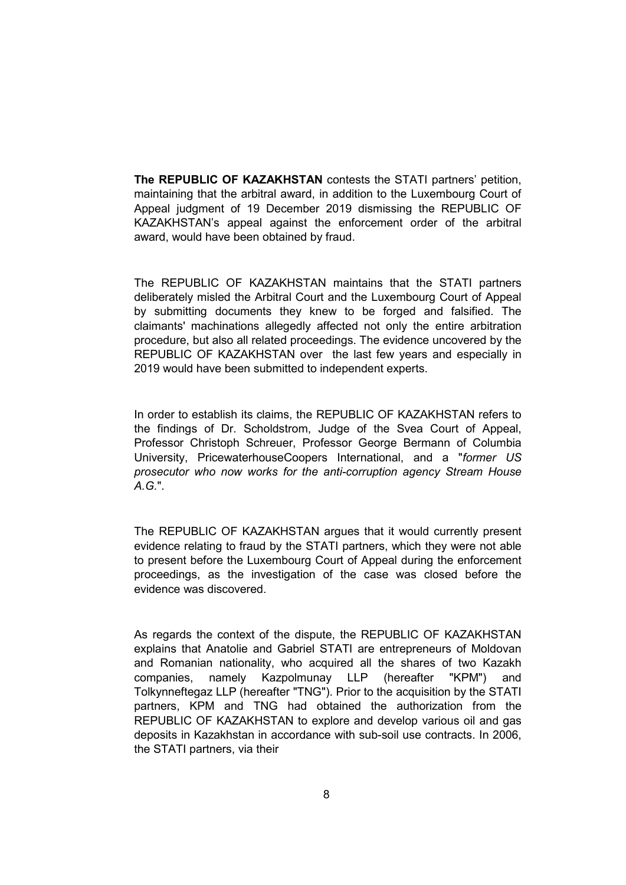**The REPUBLIC OF KAZAKHSTAN** contests the STATI partners' petition, maintaining that the arbitral award, in addition to the Luxembourg Court of Appeal judgment of 19 December 2019 dismissing the REPUBLIC OF KAZAKHSTAN's appeal against the enforcement order of the arbitral award, would have been obtained by fraud.

The REPUBLIC OF KAZAKHSTAN maintains that the STATI partners deliberately misled the Arbitral Court and the Luxembourg Court of Appeal by submitting documents they knew to be forged and falsified. The claimants' machinations allegedly affected not only the entire arbitration procedure, but also all related proceedings. The evidence uncovered by the REPUBLIC OF KAZAKHSTAN over the last few years and especially in 2019 would have been submitted to independent experts.

In order to establish its claims, the REPUBLIC OF KAZAKHSTAN refers to the findings of Dr. Scholdstrom, Judge of the Svea Court of Appeal, Professor Christoph Schreuer, Professor George Bermann of Columbia University, PricewaterhouseCoopers International, and a "*former US prosecutor who now works for the anti-corruption agency Stream House A.G.*".

The REPUBLIC OF KAZAKHSTAN argues that it would currently present evidence relating to fraud by the STATI partners, which they were not able to present before the Luxembourg Court of Appeal during the enforcement proceedings, as the investigation of the case was closed before the evidence was discovered.

As regards the context of the dispute, the REPUBLIC OF KAZAKHSTAN explains that Anatolie and Gabriel STATI are entrepreneurs of Moldovan and Romanian nationality, who acquired all the shares of two Kazakh companies, namely Kazpolmunay LLP (hereafter "KPM") and Tolkynneftegaz LLP (hereafter "TNG"). Prior to the acquisition by the STATI partners, KPM and TNG had obtained the authorization from the REPUBLIC OF KAZAKHSTAN to explore and develop various oil and gas deposits in Kazakhstan in accordance with sub-soil use contracts. In 2006, the STATI partners, via their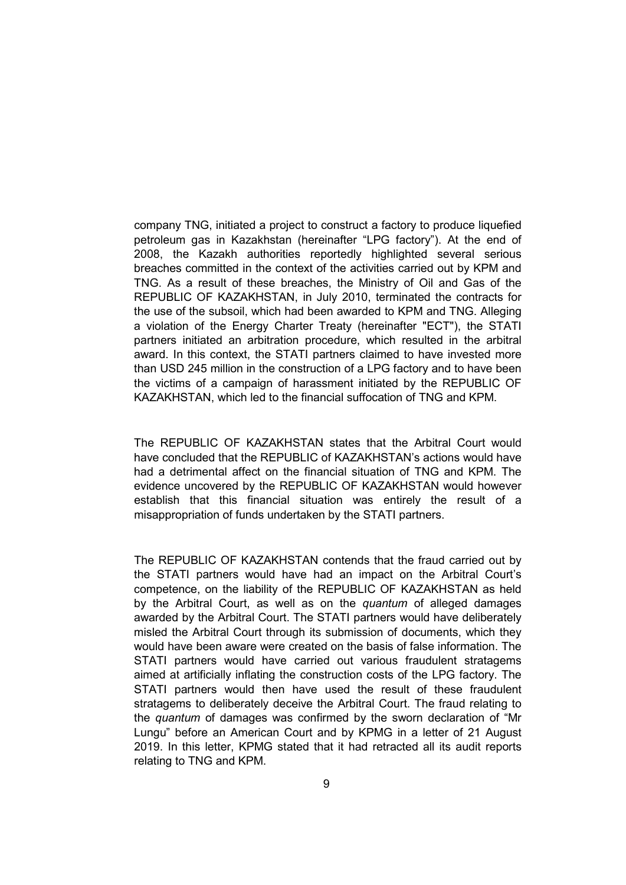company TNG, initiated a project to construct a factory to produce liquefied petroleum gas in Kazakhstan (hereinafter "LPG factory"). At the end of 2008, the Kazakh authorities reportedly highlighted several serious breaches committed in the context of the activities carried out by KPM and TNG. As a result of these breaches, the Ministry of Oil and Gas of the REPUBLIC OF KAZAKHSTAN, in July 2010, terminated the contracts for the use of the subsoil, which had been awarded to KPM and TNG. Alleging a violation of the Energy Charter Treaty (hereinafter "ECT"), the STATI partners initiated an arbitration procedure, which resulted in the arbitral award. In this context, the STATI partners claimed to have invested more than USD 245 million in the construction of a LPG factory and to have been the victims of a campaign of harassment initiated by the REPUBLIC OF KAZAKHSTAN, which led to the financial suffocation of TNG and KPM.

The REPUBLIC OF KAZAKHSTAN states that the Arbitral Court would have concluded that the REPUBLIC of KAZAKHSTAN's actions would have had a detrimental affect on the financial situation of TNG and KPM. The evidence uncovered by the REPUBLIC OF KAZAKHSTAN would however establish that this financial situation was entirely the result of a misappropriation of funds undertaken by the STATI partners.

The REPUBLIC OF KAZAKHSTAN contends that the fraud carried out by the STATI partners would have had an impact on the Arbitral Court's competence, on the liability of the REPUBLIC OF KAZAKHSTAN as held by the Arbitral Court, as well as on the *quantum* of alleged damages awarded by the Arbitral Court. The STATI partners would have deliberately misled the Arbitral Court through its submission of documents, which they would have been aware were created on the basis of false information. The STATI partners would have carried out various fraudulent stratagems aimed at artificially inflating the construction costs of the LPG factory. The STATI partners would then have used the result of these fraudulent stratagems to deliberately deceive the Arbitral Court. The fraud relating to the *quantum* of damages was confirmed by the sworn declaration of "Mr Lungu" before an American Court and by KPMG in a letter of 21 August 2019. In this letter, KPMG stated that it had retracted all its audit reports relating to TNG and KPM.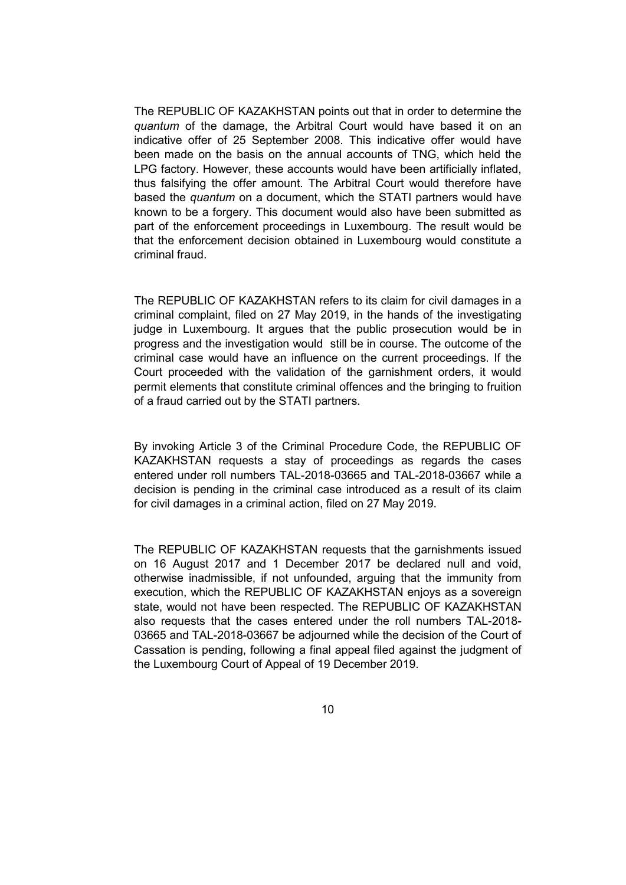The REPUBLIC OF KAZAKHSTAN points out that in order to determine the *quantum* of the damage, the Arbitral Court would have based it on an indicative offer of 25 September 2008. This indicative offer would have been made on the basis on the annual accounts of TNG, which held the LPG factory. However, these accounts would have been artificially inflated, thus falsifying the offer amount. The Arbitral Court would therefore have based the *quantum* on a document, which the STATI partners would have known to be a forgery. This document would also have been submitted as part of the enforcement proceedings in Luxembourg. The result would be that the enforcement decision obtained in Luxembourg would constitute a criminal fraud.

The REPUBLIC OF KAZAKHSTAN refers to its claim for civil damages in a criminal complaint, filed on 27 May 2019, in the hands of the investigating judge in Luxembourg. It argues that the public prosecution would be in progress and the investigation would still be in course. The outcome of the criminal case would have an influence on the current proceedings. If the Court proceeded with the validation of the garnishment orders, it would permit elements that constitute criminal offences and the bringing to fruition of a fraud carried out by the STATI partners.

By invoking Article 3 of the Criminal Procedure Code, the REPUBLIC OF KAZAKHSTAN requests a stay of proceedings as regards the cases entered under roll numbers TAL-2018-03665 and TAL-2018-03667 while a decision is pending in the criminal case introduced as a result of its claim for civil damages in a criminal action, filed on 27 May 2019.

The REPUBLIC OF KAZAKHSTAN requests that the garnishments issued on 16 August 2017 and 1 December 2017 be declared null and void, otherwise inadmissible, if not unfounded, arguing that the immunity from execution, which the REPUBLIC OF KAZAKHSTAN enjoys as a sovereign state, would not have been respected. The REPUBLIC OF KAZAKHSTAN also requests that the cases entered under the roll numbers TAL-2018- 03665 and TAL-2018-03667 be adjourned while the decision of the Court of Cassation is pending, following a final appeal filed against the judgment of the Luxembourg Court of Appeal of 19 December 2019.

10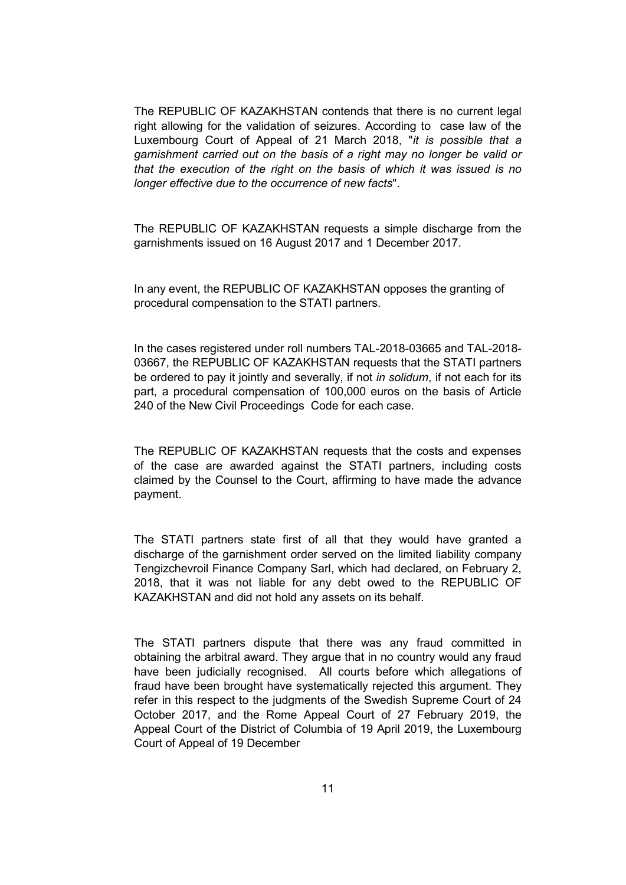The REPUBLIC OF KAZAKHSTAN contends that there is no current legal right allowing for the validation of seizures. According to case law of the Luxembourg Court of Appeal of 21 March 2018, "*it is possible that a garnishment carried out on the basis of a right may no longer be valid or that the execution of the right on the basis of which it was issued is no longer effective due to the occurrence of new facts*".

The REPUBLIC OF KAZAKHSTAN requests a simple discharge from the garnishments issued on 16 August 2017 and 1 December 2017.

In any event, the REPUBLIC OF KAZAKHSTAN opposes the granting of procedural compensation to the STATI partners.

In the cases registered under roll numbers TAL-2018-03665 and TAL-2018- 03667, the REPUBLIC OF KAZAKHSTAN requests that the STATI partners be ordered to pay it jointly and severally, if not *in solidum*, if not each for its part, a procedural compensation of 100,000 euros on the basis of Article 240 of the New Civil Proceedings Code for each case.

The REPUBLIC OF KAZAKHSTAN requests that the costs and expenses of the case are awarded against the STATI partners, including costs claimed by the Counsel to the Court, affirming to have made the advance payment.

The STATI partners state first of all that they would have granted a discharge of the garnishment order served on the limited liability company Tengizchevroil Finance Company Sarl, which had declared, on February 2, 2018, that it was not liable for any debt owed to the REPUBLIC OF KAZAKHSTAN and did not hold any assets on its behalf.

The STATI partners dispute that there was any fraud committed in obtaining the arbitral award. They argue that in no country would any fraud have been judicially recognised. All courts before which allegations of fraud have been brought have systematically rejected this argument. They refer in this respect to the judgments of the Swedish Supreme Court of 24 October 2017, and the Rome Appeal Court of 27 February 2019, the Appeal Court of the District of Columbia of 19 April 2019, the Luxembourg Court of Appeal of 19 December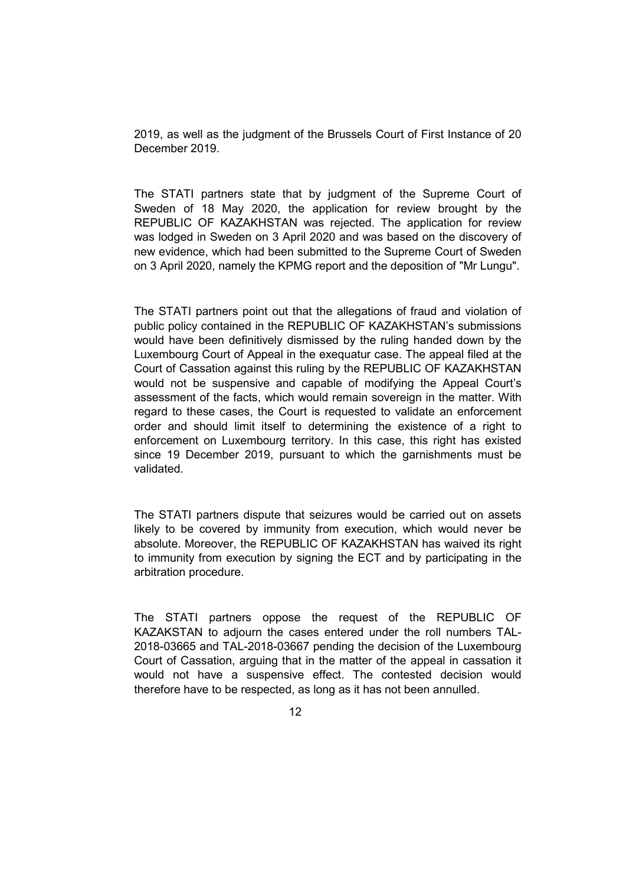2019, as well as the judgment of the Brussels Court of First Instance of 20 December 2019.

The STATI partners state that by judgment of the Supreme Court of Sweden of 18 May 2020, the application for review brought by the REPUBLIC OF KAZAKHSTAN was rejected. The application for review was lodged in Sweden on 3 April 2020 and was based on the discovery of new evidence, which had been submitted to the Supreme Court of Sweden on 3 April 2020, namely the KPMG report and the deposition of "Mr Lungu".

The STATI partners point out that the allegations of fraud and violation of public policy contained in the REPUBLIC OF KAZAKHSTAN's submissions would have been definitively dismissed by the ruling handed down by the Luxembourg Court of Appeal in the exequatur case. The appeal filed at the Court of Cassation against this ruling by the REPUBLIC OF KAZAKHSTAN would not be suspensive and capable of modifying the Appeal Court's assessment of the facts, which would remain sovereign in the matter. With regard to these cases, the Court is requested to validate an enforcement order and should limit itself to determining the existence of a right to enforcement on Luxembourg territory. In this case, this right has existed since 19 December 2019, pursuant to which the garnishments must be validated.

The STATI partners dispute that seizures would be carried out on assets likely to be covered by immunity from execution, which would never be absolute. Moreover, the REPUBLIC OF KAZAKHSTAN has waived its right to immunity from execution by signing the ECT and by participating in the arbitration procedure.

The STATI partners oppose the request of the REPUBLIC OF KAZAKSTAN to adjourn the cases entered under the roll numbers TAL-2018-03665 and TAL-2018-03667 pending the decision of the Luxembourg Court of Cassation, arguing that in the matter of the appeal in cassation it would not have a suspensive effect. The contested decision would therefore have to be respected, as long as it has not been annulled.

12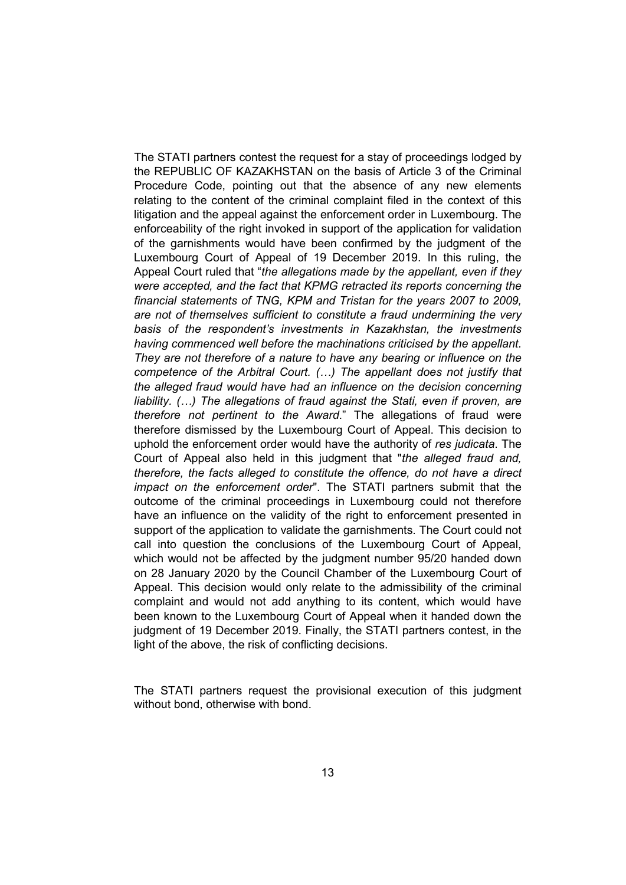The STATI partners contest the request for a stay of proceedings lodged by the REPUBLIC OF KAZAKHSTAN on the basis of Article 3 of the Criminal Procedure Code, pointing out that the absence of any new elements relating to the content of the criminal complaint filed in the context of this litigation and the appeal against the enforcement order in Luxembourg. The enforceability of the right invoked in support of the application for validation of the garnishments would have been confirmed by the judgment of the Luxembourg Court of Appeal of 19 December 2019. In this ruling, the Appeal Court ruled that "*the allegations made by the appellant, even if they were accepted, and the fact that KPMG retracted its reports concerning the financial statements of TNG, KPM and Tristan for the years 2007 to 2009, are not of themselves sufficient to constitute a fraud undermining the very basis of the respondent's investments in Kazakhstan, the investments having commenced well before the machinations criticised by the appellant. They are not therefore of a nature to have any bearing or influence on the competence of the Arbitral Court. (…) The appellant does not justify that the alleged fraud would have had an influence on the decision concerning liability. (…) The allegations of fraud against the Stati, even if proven, are therefore not pertinent to the Award*." The allegations of fraud were therefore dismissed by the Luxembourg Court of Appeal. This decision to uphold the enforcement order would have the authority of *res judicata*. The Court of Appeal also held in this judgment that "*the alleged fraud and, therefore, the facts alleged to constitute the offence, do not have a direct impact on the enforcement order*". The STATI partners submit that the outcome of the criminal proceedings in Luxembourg could not therefore have an influence on the validity of the right to enforcement presented in support of the application to validate the garnishments. The Court could not call into question the conclusions of the Luxembourg Court of Appeal, which would not be affected by the judgment number 95/20 handed down on 28 January 2020 by the Council Chamber of the Luxembourg Court of Appeal. This decision would only relate to the admissibility of the criminal complaint and would not add anything to its content, which would have been known to the Luxembourg Court of Appeal when it handed down the judgment of 19 December 2019. Finally, the STATI partners contest, in the light of the above, the risk of conflicting decisions.

The STATI partners request the provisional execution of this judgment without bond, otherwise with bond.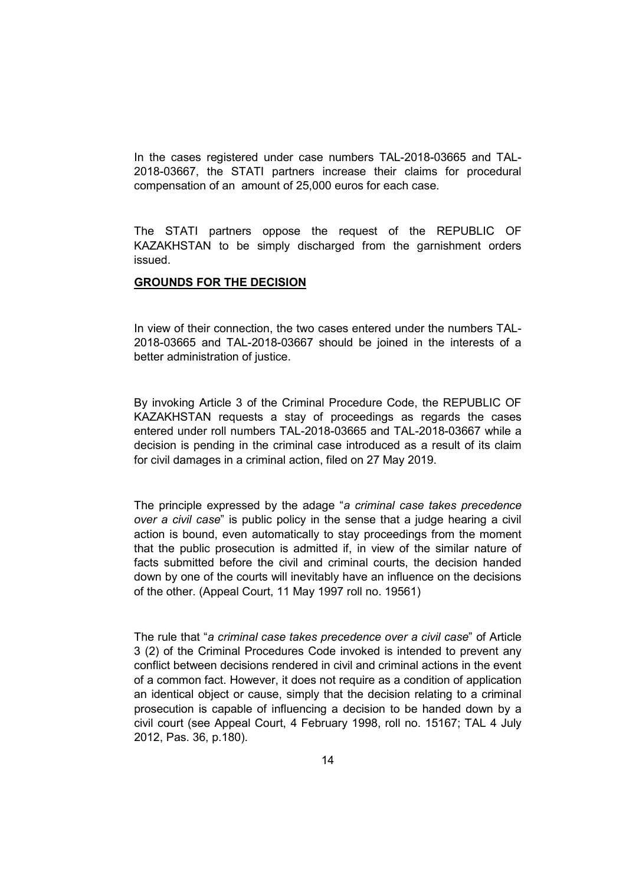In the cases registered under case numbers TAL-2018-03665 and TAL-2018-03667, the STATI partners increase their claims for procedural compensation of an amount of 25,000 euros for each case.

The STATI partners oppose the request of the REPUBLIC OF KAZAKHSTAN to be simply discharged from the garnishment orders issued.

### **GROUNDS FOR THE DECISION**

In view of their connection, the two cases entered under the numbers TAL-2018-03665 and TAL-2018-03667 should be joined in the interests of a better administration of justice.

By invoking Article 3 of the Criminal Procedure Code, the REPUBLIC OF KAZAKHSTAN requests a stay of proceedings as regards the cases entered under roll numbers TAL-2018-03665 and TAL-2018-03667 while a decision is pending in the criminal case introduced as a result of its claim for civil damages in a criminal action, filed on 27 May 2019.

The principle expressed by the adage "*a criminal case takes precedence over a civil case*" is public policy in the sense that a judge hearing a civil action is bound, even automatically to stay proceedings from the moment that the public prosecution is admitted if, in view of the similar nature of facts submitted before the civil and criminal courts, the decision handed down by one of the courts will inevitably have an influence on the decisions of the other. (Appeal Court, 11 May 1997 roll no. 19561)

The rule that "*a criminal case takes precedence over a civil case*" of Article 3 (2) of the Criminal Procedures Code invoked is intended to prevent any conflict between decisions rendered in civil and criminal actions in the event of a common fact. However, it does not require as a condition of application an identical object or cause, simply that the decision relating to a criminal prosecution is capable of influencing a decision to be handed down by a civil court (see Appeal Court, 4 February 1998, roll no. 15167; TAL 4 July 2012, Pas. 36, p.180).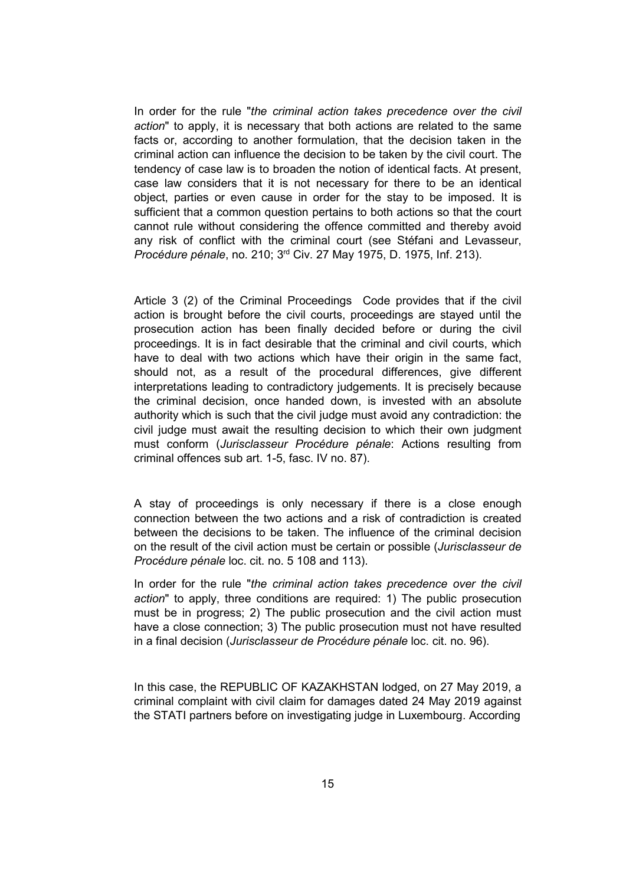In order for the rule "*the criminal action takes precedence over the civil action*" to apply, it is necessary that both actions are related to the same facts or, according to another formulation, that the decision taken in the criminal action can influence the decision to be taken by the civil court. The tendency of case law is to broaden the notion of identical facts. At present, case law considers that it is not necessary for there to be an identical object, parties or even cause in order for the stay to be imposed. It is sufficient that a common question pertains to both actions so that the court cannot rule without considering the offence committed and thereby avoid any risk of conflict with the criminal court (see Stéfani and Levasseur, *Procédure pénale*, no. 210; 3rd Civ. 27 May 1975, D. 1975, Inf. 213).

Article 3 (2) of the Criminal Proceedings Code provides that if the civil action is brought before the civil courts, proceedings are stayed until the prosecution action has been finally decided before or during the civil proceedings. It is in fact desirable that the criminal and civil courts, which have to deal with two actions which have their origin in the same fact, should not, as a result of the procedural differences, give different interpretations leading to contradictory judgements. It is precisely because the criminal decision, once handed down, is invested with an absolute authority which is such that the civil judge must avoid any contradiction: the civil judge must await the resulting decision to which their own judgment must conform (*Jurisclasseur Procédure pénale*: Actions resulting from criminal offences sub art. 1-5, fasc. IV no. 87).

A stay of proceedings is only necessary if there is a close enough connection between the two actions and a risk of contradiction is created between the decisions to be taken. The influence of the criminal decision on the result of the civil action must be certain or possible (*Jurisclasseur de Procédure pénale* loc. cit. no. 5 108 and 113).

In order for the rule "*the criminal action takes precedence over the civil action*" to apply, three conditions are required: 1) The public prosecution must be in progress; 2) The public prosecution and the civil action must have a close connection; 3) The public prosecution must not have resulted in a final decision (*Jurisclasseur de Procédure pénale* loc. cit. no. 96).

In this case, the REPUBLIC OF KAZAKHSTAN lodged, on 27 May 2019, a criminal complaint with civil claim for damages dated 24 May 2019 against the STATI partners before on investigating judge in Luxembourg. According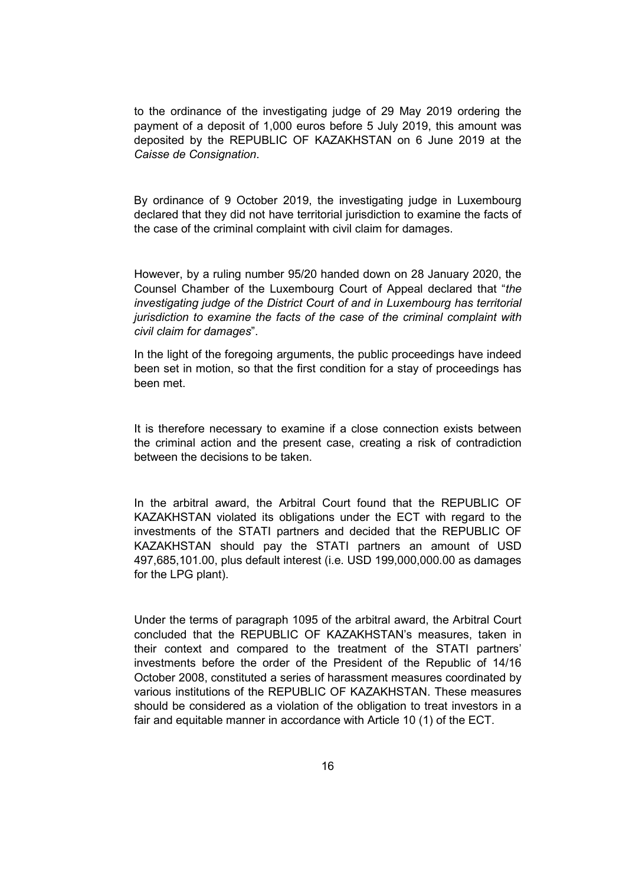to the ordinance of the investigating judge of 29 May 2019 ordering the payment of a deposit of 1,000 euros before 5 July 2019, this amount was deposited by the REPUBLIC OF KAZAKHSTAN on 6 June 2019 at the *Caisse de Consignation*.

By ordinance of 9 October 2019, the investigating judge in Luxembourg declared that they did not have territorial jurisdiction to examine the facts of the case of the criminal complaint with civil claim for damages.

However, by a ruling number 95/20 handed down on 28 January 2020, the Counsel Chamber of the Luxembourg Court of Appeal declared that "*the investigating judge of the District Court of and in Luxembourg has territorial jurisdiction to examine the facts of the case of the criminal complaint with civil claim for damages*".

In the light of the foregoing arguments, the public proceedings have indeed been set in motion, so that the first condition for a stay of proceedings has been met.

It is therefore necessary to examine if a close connection exists between the criminal action and the present case, creating a risk of contradiction between the decisions to be taken.

In the arbitral award, the Arbitral Court found that the REPUBLIC OF KAZAKHSTAN violated its obligations under the ECT with regard to the investments of the STATI partners and decided that the REPUBLIC OF KAZAKHSTAN should pay the STATI partners an amount of USD 497,685,101.00, plus default interest (i.e. USD 199,000,000.00 as damages for the LPG plant).

Under the terms of paragraph 1095 of the arbitral award, the Arbitral Court concluded that the REPUBLIC OF KAZAKHSTAN's measures, taken in their context and compared to the treatment of the STATI partners' investments before the order of the President of the Republic of 14/16 October 2008, constituted a series of harassment measures coordinated by various institutions of the REPUBLIC OF KAZAKHSTAN. These measures should be considered as a violation of the obligation to treat investors in a fair and equitable manner in accordance with Article 10 (1) of the ECT.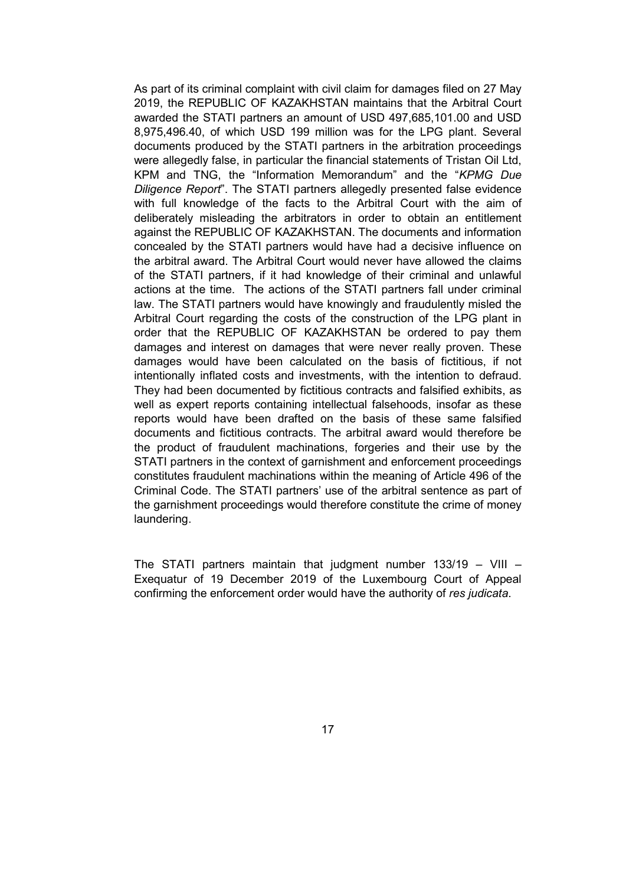As part of its criminal complaint with civil claim for damages filed on 27 May 2019, the REPUBLIC OF KAZAKHSTAN maintains that the Arbitral Court awarded the STATI partners an amount of USD 497,685,101.00 and USD 8,975,496.40, of which USD 199 million was for the LPG plant. Several documents produced by the STATI partners in the arbitration proceedings were allegedly false, in particular the financial statements of Tristan Oil Ltd, KPM and TNG, the "Information Memorandum" and the "*KPMG Due Diligence Report*". The STATI partners allegedly presented false evidence with full knowledge of the facts to the Arbitral Court with the aim of deliberately misleading the arbitrators in order to obtain an entitlement against the REPUBLIC OF KAZAKHSTAN. The documents and information concealed by the STATI partners would have had a decisive influence on the arbitral award. The Arbitral Court would never have allowed the claims of the STATI partners, if it had knowledge of their criminal and unlawful actions at the time. The actions of the STATI partners fall under criminal law. The STATI partners would have knowingly and fraudulently misled the Arbitral Court regarding the costs of the construction of the LPG plant in order that the REPUBLIC OF KAZAKHSTAN be ordered to pay them damages and interest on damages that were never really proven. These damages would have been calculated on the basis of fictitious, if not intentionally inflated costs and investments, with the intention to defraud. They had been documented by fictitious contracts and falsified exhibits, as well as expert reports containing intellectual falsehoods, insofar as these reports would have been drafted on the basis of these same falsified documents and fictitious contracts. The arbitral award would therefore be the product of fraudulent machinations, forgeries and their use by the STATI partners in the context of garnishment and enforcement proceedings constitutes fraudulent machinations within the meaning of Article 496 of the Criminal Code. The STATI partners' use of the arbitral sentence as part of the garnishment proceedings would therefore constitute the crime of money laundering.

The STATI partners maintain that judgment number 133/19 – VIII – Exequatur of 19 December 2019 of the Luxembourg Court of Appeal confirming the enforcement order would have the authority of *res judicata*.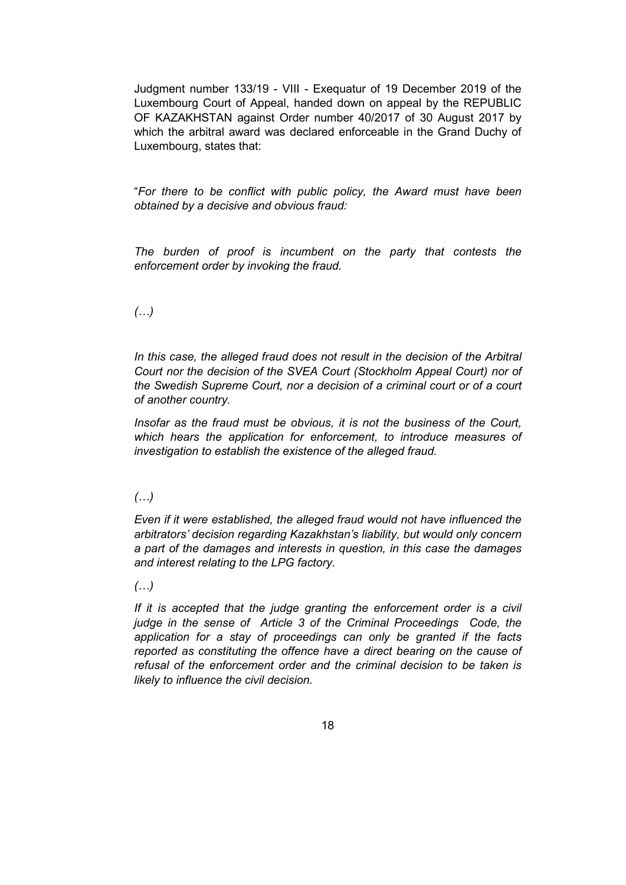Judgment number 133/19 - VIII - Exequatur of 19 December 2019 of the Luxembourg Court of Appeal, handed down on appeal by the REPUBLIC OF KAZAKHSTAN against Order number 40/2017 of 30 August 2017 by which the arbitral award was declared enforceable in the Grand Duchy of Luxembourg, states that:

"*For there to be conflict with public policy, the Award must have been obtained by a decisive and obvious fraud:*

*The burden of proof is incumbent on the party that contests the enforcement order by invoking the fraud.*

## *(…)*

*In this case, the alleged fraud does not result in the decision of the Arbitral Court nor the decision of the SVEA Court (Stockholm Appeal Court) nor of the Swedish Supreme Court, nor a decision of a criminal court or of a court of another country.*

*Insofar as the fraud must be obvious, it is not the business of the Court, which hears the application for enforcement, to introduce measures of investigation to establish the existence of the alleged fraud.*

## *(…)*

*Even if it were established, the alleged fraud would not have influenced the arbitrators' decision regarding Kazakhstan's liability, but would only concern a part of the damages and interests in question, in this case the damages and interest relating to the LPG factory.*

### *(…)*

*If it is accepted that the judge granting the enforcement order is a civil judge in the sense of Article 3 of the Criminal Proceedings Code, the application for a stay of proceedings can only be granted if the facts reported as constituting the offence have a direct bearing on the cause of refusal of the enforcement order and the criminal decision to be taken is likely to influence the civil decision.*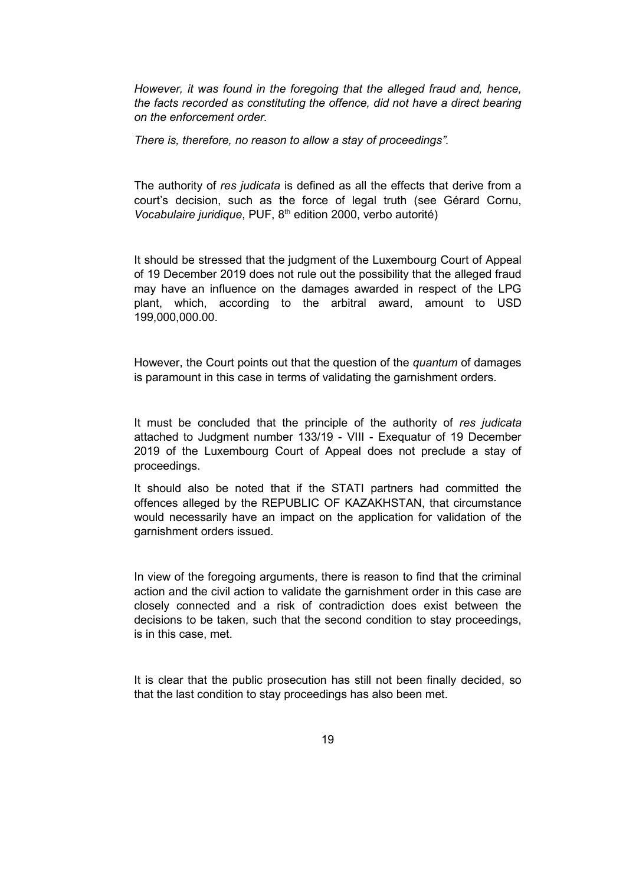*However, it was found in the foregoing that the alleged fraud and, hence, the facts recorded as constituting the offence, did not have a direct bearing on the enforcement order.*

*There is, therefore, no reason to allow a stay of proceedings".*

The authority of *res judicata* is defined as all the effects that derive from a court's decision, such as the force of legal truth (see Gérard Cornu, *Vocabulaire juridique*, PUF, 8<sup>th</sup> edition 2000, verbo autorité)

It should be stressed that the judgment of the Luxembourg Court of Appeal of 19 December 2019 does not rule out the possibility that the alleged fraud may have an influence on the damages awarded in respect of the LPG plant, which, according to the arbitral award, amount to USD 199,000,000.00.

However, the Court points out that the question of the *quantum* of damages is paramount in this case in terms of validating the garnishment orders.

It must be concluded that the principle of the authority of *res judicata* attached to Judgment number 133/19 - VIII - Exequatur of 19 December 2019 of the Luxembourg Court of Appeal does not preclude a stay of proceedings.

It should also be noted that if the STATI partners had committed the offences alleged by the REPUBLIC OF KAZAKHSTAN, that circumstance would necessarily have an impact on the application for validation of the garnishment orders issued.

In view of the foregoing arguments, there is reason to find that the criminal action and the civil action to validate the garnishment order in this case are closely connected and a risk of contradiction does exist between the decisions to be taken, such that the second condition to stay proceedings, is in this case, met.

It is clear that the public prosecution has still not been finally decided, so that the last condition to stay proceedings has also been met.